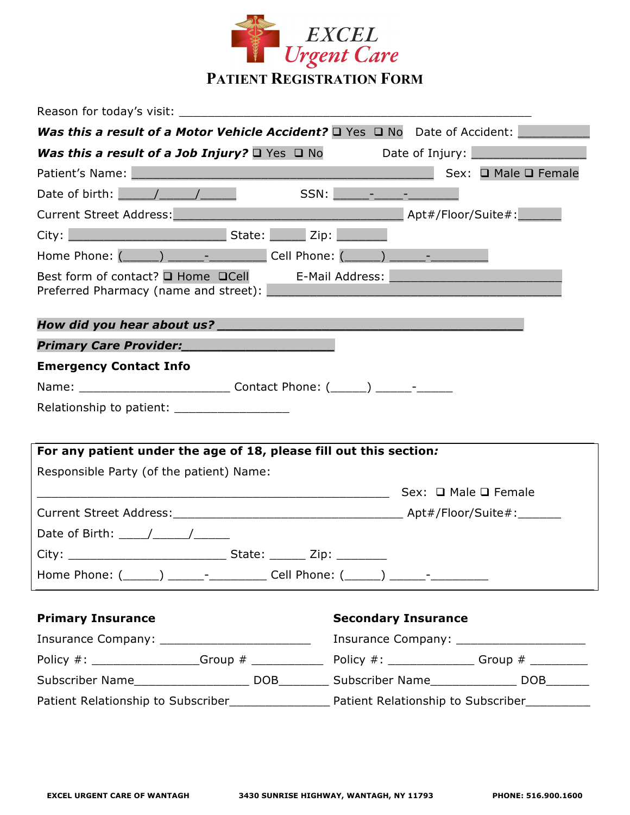

| Reason for today's visit:                                                                                       |                                                                                                                        |
|-----------------------------------------------------------------------------------------------------------------|------------------------------------------------------------------------------------------------------------------------|
| <b>Was this a result of a Motor Vehicle Accident?</b> $\Box$ Yes $\Box$ No Date of Accident:                    |                                                                                                                        |
| <b>Was this a result of a Job Injury?</b> $\Box$ Yes $\Box$ No Date of Injury: $\Box$                           |                                                                                                                        |
| Patient's Name: Manual Manual Manual Manual Manual Manual Manual Manual Manual Manual Manual Manual Manual Manu | Sex: □ Male □ Female                                                                                                   |
| Date of birth: $\sqrt{1 - 1}$                                                                                   |                                                                                                                        |
| Current Street Address: Manual Apt#/Floor/Suite#:                                                               |                                                                                                                        |
|                                                                                                                 |                                                                                                                        |
| Home Phone: (______) ______- _________ Cell Phone: (_____) ______- _____________                                |                                                                                                                        |
| Best form of contact? $\square$ Home $\square$ Cell E-Mail Address:<br>Preferred Pharmacy (name and street):    | <u> 1980 - Jan Samuel Barbara, margaret e populazion del control del control del control del control de la control</u> |
|                                                                                                                 |                                                                                                                        |
| Primary Care Provider:                                                                                          |                                                                                                                        |
| <b>Emergency Contact Info</b>                                                                                   |                                                                                                                        |
|                                                                                                                 |                                                                                                                        |
| Relationship to patient: _____________________                                                                  |                                                                                                                        |
|                                                                                                                 |                                                                                                                        |
| For any patient under the age of 18, please fill out this section:                                              |                                                                                                                        |
| Responsible Party (of the patient) Name:                                                                        |                                                                                                                        |
|                                                                                                                 |                                                                                                                        |
|                                                                                                                 |                                                                                                                        |
| Date of Birth: $\frac{1}{\sqrt{1-\frac{1}{2}}}\left\vert \frac{1}{\sqrt{1-\frac{1}{2}}}\right\vert$             |                                                                                                                        |
|                                                                                                                 |                                                                                                                        |
| Home Phone: (______) ______- __________ Cell Phone: (_____) ______- ___________                                 |                                                                                                                        |
| <b>Primary Insurance</b>                                                                                        | <b>Secondary Insurance</b>                                                                                             |
| Insurance Company: __________________________                                                                   | Insurance Company: ________________________                                                                            |
|                                                                                                                 |                                                                                                                        |
|                                                                                                                 |                                                                                                                        |

Patient Relationship to Subscriber\_\_\_\_\_\_\_\_\_\_\_\_\_\_\_\_\_\_\_\_\_ Patient Relationship to Subscriber\_\_\_\_\_\_\_\_\_\_